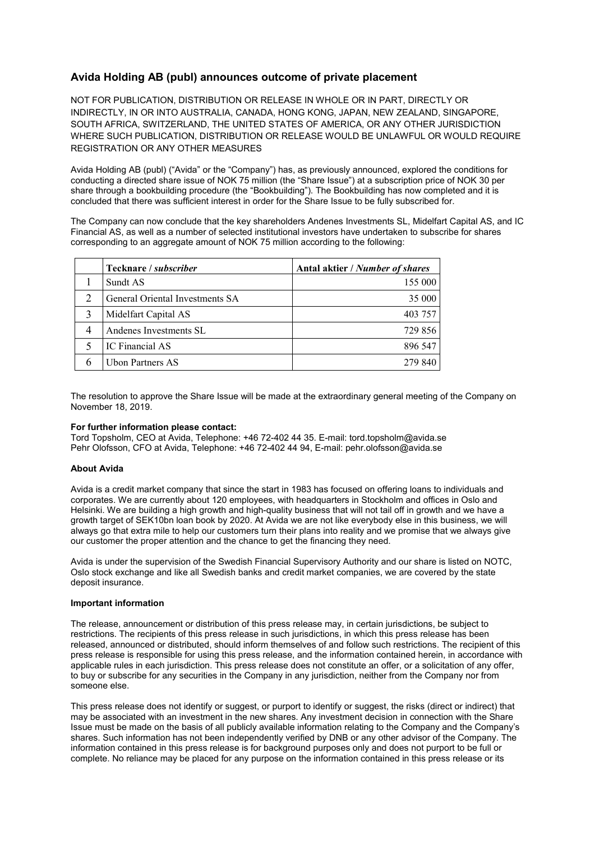# **Avida Holding AB (publ) announces outcome of private placement**

NOT FOR PUBLICATION, DISTRIBUTION OR RELEASE IN WHOLE OR IN PART, DIRECTLY OR INDIRECTLY, IN OR INTO AUSTRALIA, CANADA, HONG KONG, JAPAN, NEW ZEALAND, SINGAPORE, SOUTH AFRICA, SWITZERLAND, THE UNITED STATES OF AMERICA, OR ANY OTHER JURISDICTION WHERE SUCH PUBLICATION, DISTRIBUTION OR RELEASE WOULD BE UNLAWFUL OR WOULD REQUIRE REGISTRATION OR ANY OTHER MEASURES

Avida Holding AB (publ) ("Avida" or the "Company") has, as previously announced, explored the conditions for conducting a directed share issue of NOK 75 million (the "Share Issue") at a subscription price of NOK 30 per share through a bookbuilding procedure (the "Bookbuilding"). The Bookbuilding has now completed and it is concluded that there was sufficient interest in order for the Share Issue to be fully subscribed for.

The Company can now conclude that the key shareholders Andenes Investments SL, Midelfart Capital AS, and IC Financial AS, as well as a number of selected institutional investors have undertaken to subscribe for shares corresponding to an aggregate amount of NOK 75 million according to the following:

| Tecknare / <i>subscriber</i>    | Antal aktier / Number of shares |
|---------------------------------|---------------------------------|
| Sundt AS                        | 155 000                         |
| General Oriental Investments SA | 35 000                          |
| Midelfart Capital AS            | 403 757                         |
| Andenes Investments SL          | 729 856                         |
| IC Financial AS                 | 896 547                         |
| Ubon Partners AS                | 279.840                         |

The resolution to approve the Share Issue will be made at the extraordinary general meeting of the Company on November 18, 2019.

## **For further information please contact:**

Tord Topsholm, CEO at Avida, Telephone: +46 72-402 44 35. E-mail: tord.topsholm@avida.se Pehr Olofsson, CFO at Avida, Telephone: +46 72-402 44 94, E-mail: pehr.olofsson@avida.se

## **About Avida**

Avida is a credit market company that since the start in 1983 has focused on offering loans to individuals and corporates. We are currently about 120 employees, with headquarters in Stockholm and offices in Oslo and Helsinki. We are building a high growth and high-quality business that will not tail off in growth and we have a growth target of SEK10bn loan book by 2020. At Avida we are not like everybody else in this business, we will always go that extra mile to help our customers turn their plans into reality and we promise that we always give our customer the proper attention and the chance to get the financing they need.

Avida is under the supervision of the Swedish Financial Supervisory Authority and our share is listed on NOTC, Oslo stock exchange and like all Swedish banks and credit market companies, we are covered by the state deposit insurance.

## **Important information**

The release, announcement or distribution of this press release may, in certain jurisdictions, be subject to restrictions. The recipients of this press release in such jurisdictions, in which this press release has been released, announced or distributed, should inform themselves of and follow such restrictions. The recipient of this press release is responsible for using this press release, and the information contained herein, in accordance with applicable rules in each jurisdiction. This press release does not constitute an offer, or a solicitation of any offer, to buy or subscribe for any securities in the Company in any jurisdiction, neither from the Company nor from someone else.

This press release does not identify or suggest, or purport to identify or suggest, the risks (direct or indirect) that may be associated with an investment in the new shares. Any investment decision in connection with the Share Issue must be made on the basis of all publicly available information relating to the Company and the Company's shares. Such information has not been independently verified by DNB or any other advisor of the Company. The information contained in this press release is for background purposes only and does not purport to be full or complete. No reliance may be placed for any purpose on the information contained in this press release or its